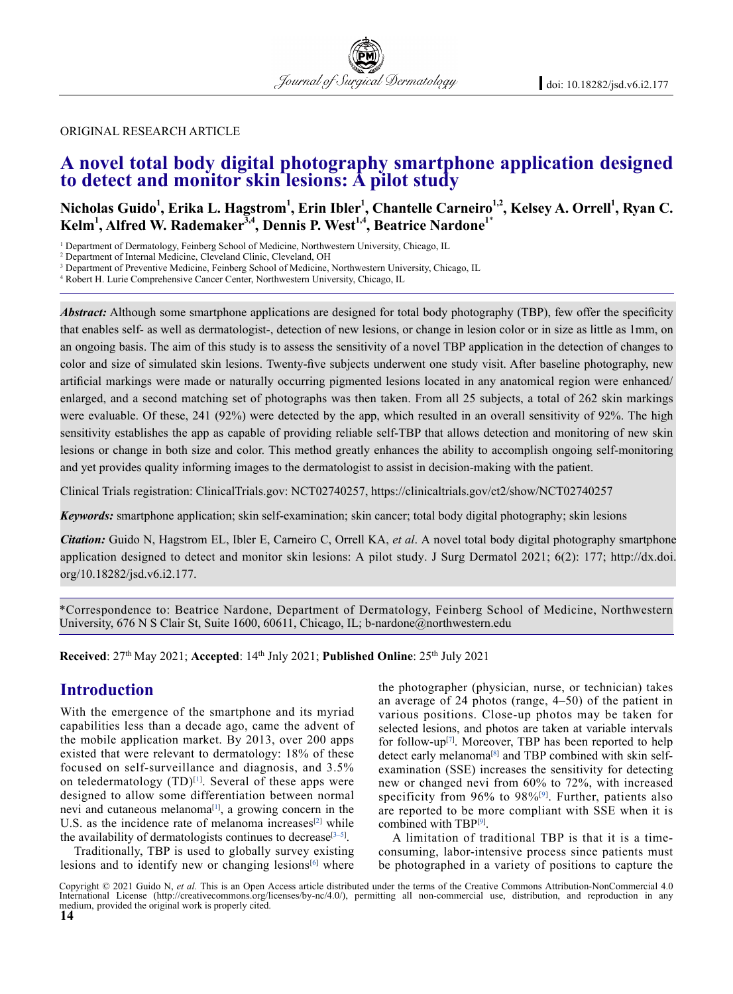#### original research article

# **A novel total body digital photography smartphone application designed to detect and monitor skin lesions: A pilot study**

Nicholas Guido<sup>1</sup>, Erika L. Hagstrom<sup>1</sup>, Erin Ibler<sup>1</sup>, Chantelle Carneiro<sup>1,2</sup>, Kelsey A. Orrell<sup>1</sup>, Ryan C.  $\mathbf{Kelm}^1,$  Alfred W. Rademaker<sup>3,4</sup>, Dennis P. West<sup>1,4</sup>, Beatrice Nardone<sup>1\*</sup>

<sup>1</sup> Department of Dermatology, Feinberg School of Medicine, Northwestern University, Chicago, IL

3 Department of Preventive Medicine, Feinberg School of Medicine, Northwestern University, Chicago, IL

<sup>4</sup> Robert H. Lurie Comprehensive Cancer Center, Northwestern University, Chicago, IL

*Abstract:* Although some smartphone applications are designed for total body photography (TBP), few offer the specificity that enables self- as well as dermatologist-, detection of new lesions, or change in lesion color or in size as little as 1mm, on an ongoing basis. The aim of this study is to assess the sensitivity of a novel TBP application in the detection of changes to color and size of simulated skin lesions. Twenty-five subjects underwent one study visit. After baseline photography, new artificial markings were made or naturally occurring pigmented lesions located in any anatomical region were enhanced/ enlarged, and a second matching set of photographs was then taken. From all 25 subjects, a total of 262 skin markings were evaluable. Of these, 241 (92%) were detected by the app, which resulted in an overall sensitivity of 92%. The high sensitivity establishes the app as capable of providing reliable self-TBP that allows detection and monitoring of new skin lesions or change in both size and color. This method greatly enhances the ability to accomplish ongoing self-monitoring and yet provides quality informing images to the dermatologist to assist in decision-making with the patient.

Clinical Trials registration: ClinicalTrials.gov: NCT02740257, https://clinicaltrials.gov/ct2/show/NCT02740257

*Keywords:* smartphone application; skin self-examination; skin cancer; total body digital photography; skin lesions

*Citation:* Guido N, hagstrom eL, Ibler e, Carneiro C, Orrell KA, *et al*. A novel total body digital photography smartphone application designed to detect and monitor skin lesions: A pilot study. J surg Dermatol 2021; 6(2): 177; http://dx.doi. org/10.18282/jsd.v6.i2.177.

\*Correspondence to: Beatrice Nardone, Department of Dermatology, Feinberg School of Medicine, Northwestern University, 676 N S Clair St, Suite 1600, 60611, Chicago, IL; b-nardone@northwestern.edu

Received: 27<sup>th</sup> May 2021; Accepted: 14<sup>th</sup> Jnly 2021; Published Online: 25<sup>th</sup> July 2021

# **Introduction**

With the emergence of the smartphone and its myriad capabilities less than a decade ago, came the advent of the mobile application market. By 2013, over 200 apps existed that were relevant to dermatology: 18% of these focused on self-surveillance and diagnosis, and 3.5% on teledermatology  $(TD)^{[1]}$ . Several of these apps were designed to allow some differentiation between normal nevi and cutaneous melanoma<sup>[1]</sup>, a growing concern in the U.S. as the incidence rate of melanoma increases $[2]$  while the availability of dermatologists continues to decrease<sup>[3-5]</sup>.

Traditionally, TBP is used to globally survey existing lesions and to identify new or changing lesions $[6]$  where the photographer (physician, nurse, or technician) takes an average of 24 photos (range, 4–50) of the patient in various positions. Close-up photos may be taken for selected lesions, and photos are taken at variable intervals for follow-up[7] . Moreover, TBP has been reported to help detect early melanoma<sup>[8]</sup> and TBP combined with skin selfexamination (SSE) increases the sensitivity for detecting new or changed nevi from 60% to 72%, with increased specificity from 96% to 98%<sup>[9]</sup>. Further, patients also are reported to be more compliant with SSE when it is combined with TBP[9].

A limitation of traditional TBP is that it is a timeconsuming, labor-intensive process since patients must be photographed in a variety of positions to capture the

Copyright © 2021 Guido N, *et al.* This is an Open Access article distributed under the terms of the Creative Commons Attribution-NonCommercial 4.0 International License (http://creativecommons.org/licenses/by-nc/4.0/), permitting all non-commercial use, distribution, and reproduction in any medium, provided the original work is properly cited.

<sup>2</sup> Department of Internal Medicine, Cleveland Clinic, Cleveland, OH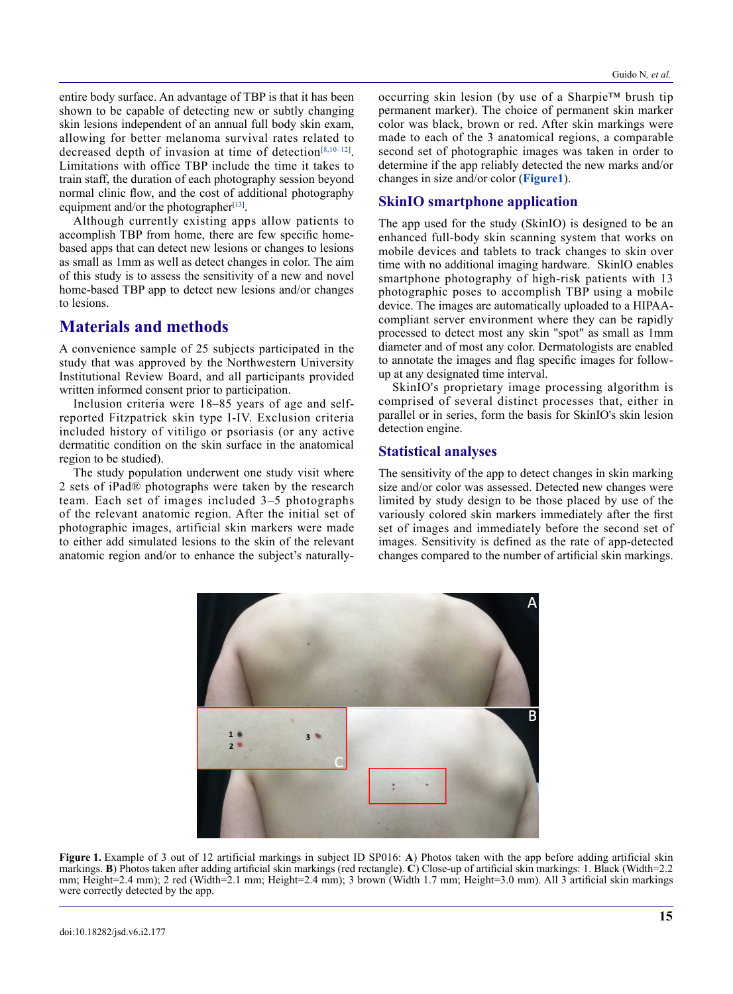entire body surface. An advantage of TBP is that it has been shown to be capable of detecting new or subtly changing skin lesions independent of an annual full body skin exam, allowing for better melanoma survival rates related to decreased depth of invasion at time of detection<sup>[8,10–12]</sup>. Limitations with office TBP include the time it takes to train staff, the duration of each photography session beyond normal clinic flow, and the cost of additional photography equipment and/or the photographer $[13]$ .

Although currently existing apps allow patients to accomplish TBP from home, there are few specific homebased apps that can detect new lesions or changes to lesions as small as 1mm as well as detect changes in color. The aim of this study is to assess the sensitivity of a new and novel home-based TBP app to detect new lesions and/or changes to lesions.

### **Materials and methods**

A convenience sample of 25 subjects participated in the study that was approved by the Northwestern University Institutional Review Board, and all participants provided written informed consent prior to participation.

Inclusion criteria were 18–85 years of age and selfreported Fitzpatrick skin type I-IV. Exclusion criteria included history of vitiligo or psoriasis (or any active dermatitic condition on the skin surface in the anatomical region to be studied).

The study population underwent one study visit where 2 sets of iPad® photographs were taken by the research team. Each set of images included 3–5 photographs of the relevant anatomic region. After the initial set of photographic images, artificial skin markers were made to either add simulated lesions to the skin of the relevant anatomic region and/or to enhance the subject's naturally-

occurring skin lesion (by use of a Sharpie™ brush tip permanent marker). The choice of permanent skin marker color was black, brown or red. After skin markings were made to each of the 3 anatomical regions, a comparable second set of photographic images was taken in order to determine if the app reliably detected the new marks and/or changes in size and/or color (**Figure1**).

#### **SkinIO smartphone application**

The app used for the study (SkinIO) is designed to be an enhanced full-body skin scanning system that works on mobile devices and tablets to track changes to skin over time with no additional imaging hardware. SkinIO enables smartphone photography of high-risk patients with 13 photographic poses to accomplish TBP using a mobile device. The images are automatically uploaded to a HIPAAcompliant server environment where they can be rapidly processed to detect most any skin "spot" as small as 1mm diameter and of most any color. Dermatologists are enabled to annotate the images and flag specific images for followup at any designated time interval.

SkinIO's proprietary image processing algorithm is comprised of several distinct processes that, either in parallel or in series, form the basis for SkinIO's skin lesion detection engine.

#### **Statistical analyses**

The sensitivity of the app to detect changes in skin marking size and/or color was assessed. Detected new changes were limited by study design to be those placed by use of the variously colored skin markers immediately after the first set of images and immediately before the second set of images. Sensitivity is defined as the rate of app-detected changes compared to the number of artificial skin markings.



**Figure 1.** Example of 3 out of 12 artificial markings in subject ID SP016: A) Photos taken with the app before adding artificial skin markings. **B**) Photos taken after adding artificial skin markings (red rectangle). **C**) Close-up of artificial skin markings: 1. Black (Width=2.2 mm; Height=2.4 mm); 2 red (Width=2.1 mm; Height=2.4 mm); 3 brown (Width 1.7 mm; Height=3.0 mm). All 3 artificial skin markings were correctly detected by the app.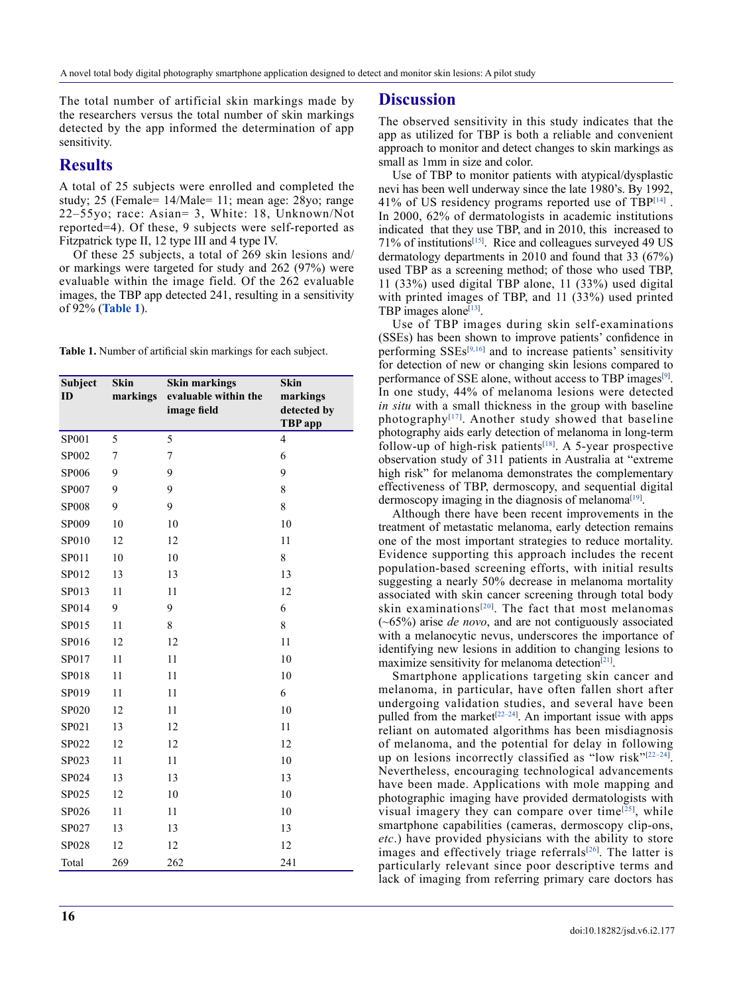The total number of artificial skin markings made by the researchers versus the total number of skin markings detected by the app informed the determination of app sensitivity.

#### **Results**

A total of 25 subjects were enrolled and completed the study; 25 (Female= 14/Male= 11; mean age: 28yo; range 22–55yo; race: Asian= 3, White: 18, Unknown/Not reported=4). Of these, 9 subjects were self-reported as Fitzpatrick type II, 12 type III and 4 type IV.

Of these 25 subjects, a total of 269 skin lesions and/ or markings were targeted for study and 262 (97%) were evaluable within the image field. Of the 262 evaluable images, the TBP app detected 241, resulting in a sensitivity of 92% (**Table 1**).

**Table 1.** Number of artificial skin markings for each subject.

| Subject<br>ID | <b>Skin</b><br>markings | <b>Skin markings</b><br>evaluable within the<br>image field | Skin<br>markings<br>detected by<br><b>TBP</b> app |
|---------------|-------------------------|-------------------------------------------------------------|---------------------------------------------------|
| SP001         | 5                       | 5                                                           | $\overline{4}$                                    |
| SP002         | 7                       | 7                                                           | 6                                                 |
| SP006         | 9                       | 9                                                           | 9                                                 |
| SP007         | 9                       | 9                                                           | 8                                                 |
| <b>SP008</b>  | 9                       | 9                                                           | 8                                                 |
| SP009         | 10                      | 10                                                          | 10                                                |
| SP010         | 12                      | 12                                                          | 11                                                |
| SP011         | 10                      | 10                                                          | 8                                                 |
| SP012         | 13                      | 13                                                          | 13                                                |
| SP013         | 11                      | 11                                                          | 12                                                |
| SP014         | 9                       | 9                                                           | 6                                                 |
| SP015         | 11                      | 8                                                           | 8                                                 |
| SP016         | 12                      | 12                                                          | 11                                                |
| SP017         | 11                      | 11                                                          | 10                                                |
| SP018         | 11                      | 11                                                          | 10                                                |
| SP019         | 11                      | 11                                                          | 6                                                 |
| SP020         | 12                      | 11                                                          | 10                                                |
| SP021         | 13                      | 12                                                          | 11                                                |
| SP022         | 12                      | 12                                                          | 12                                                |
| SP023         | 11                      | 11                                                          | 10                                                |
| SP024         | 13                      | 13                                                          | 13                                                |
| SP025         | 12                      | 10                                                          | 10                                                |
| SP026         | 11                      | 11                                                          | 10                                                |
| SP027         | 13                      | 13                                                          | 13                                                |
| SP028         | 12                      | 12                                                          | 12                                                |
| Total         | 269                     | 262                                                         | 241                                               |

#### **Discussion**

The observed sensitivity in this study indicates that the app as utilized for TBP is both a reliable and convenient approach to monitor and detect changes to skin markings as small as 1mm in size and color.

Use of TBP to monitor patients with atypical/dysplastic nevi has been well underway since the late 1980's. By 1992, 41% of US residency programs reported use of TB $P^{[14]}$ . In 2000, 62% of dermatologists in academic institutions indicated that they use TBP, and in 2010, this increased to 71% of institutions<sup>[15]</sup>. Rice and colleagues surveyed 49 US dermatology departments in 2010 and found that 33 (67%) used TBP as a screening method; of those who used TBP, 11 (33%) used digital TBP alone, 11 (33%) used digital with printed images of TBP, and 11 (33%) used printed TBP images alone<sup>[13]</sup>.

Use of TBP images during skin self-examinations (SSEs) has been shown to improve patients' confidence in performing  $SSEs^{[9,16]}$  and to increase patients' sensitivity for detection of new or changing skin lesions compared to performance of SSE alone, without access to TBP images<sup>[9]</sup>. In one study, 44% of melanoma lesions were detected *in situ* with a small thickness in the group with baseline photography $[17]$ . Another study showed that baseline photography aids early detection of melanoma in long-term follow-up of high-risk patients<sup>[18]</sup>. A 5-year prospective observation study of 311 patients in Australia at "extreme high risk" for melanoma demonstrates the complementary effectiveness of TBP, dermoscopy, and sequential digital dermoscopy imaging in the diagnosis of melanoma<sup>[19]</sup>.

Although there have been recent improvements in the treatment of metastatic melanoma, early detection remains one of the most important strategies to reduce mortality. Evidence supporting this approach includes the recent population-based screening efforts, with initial results suggesting a nearly 50% decrease in melanoma mortality associated with skin cancer screening through total body skin examinations<sup>[20]</sup>. The fact that most melanomas (~65%) arise *de novo*, and are not contiguously associated with a melanocytic nevus, underscores the importance of identifying new lesions in addition to changing lesions to maximize sensitivity for melanoma detection $[21]$ .

Smartphone applications targeting skin cancer and melanoma, in particular, have often fallen short after undergoing validation studies, and several have been pulled from the market<sup>[22-24]</sup>. An important issue with apps reliant on automated algorithms has been misdiagnosis of melanoma, and the potential for delay in following up on lesions incorrectly classified as "low risk"<sup>[22-24]</sup>. Nevertheless, encouraging technological advancements have been made. Applications with mole mapping and photographic imaging have provided dermatologists with visual imagery they can compare over time $[25]$ , while smartphone capabilities (cameras, dermoscopy clip-ons, *etc*.) have provided physicians with the ability to store images and effectively triage referrals $[26]$ . The latter is particularly relevant since poor descriptive terms and lack of imaging from referring primary care doctors has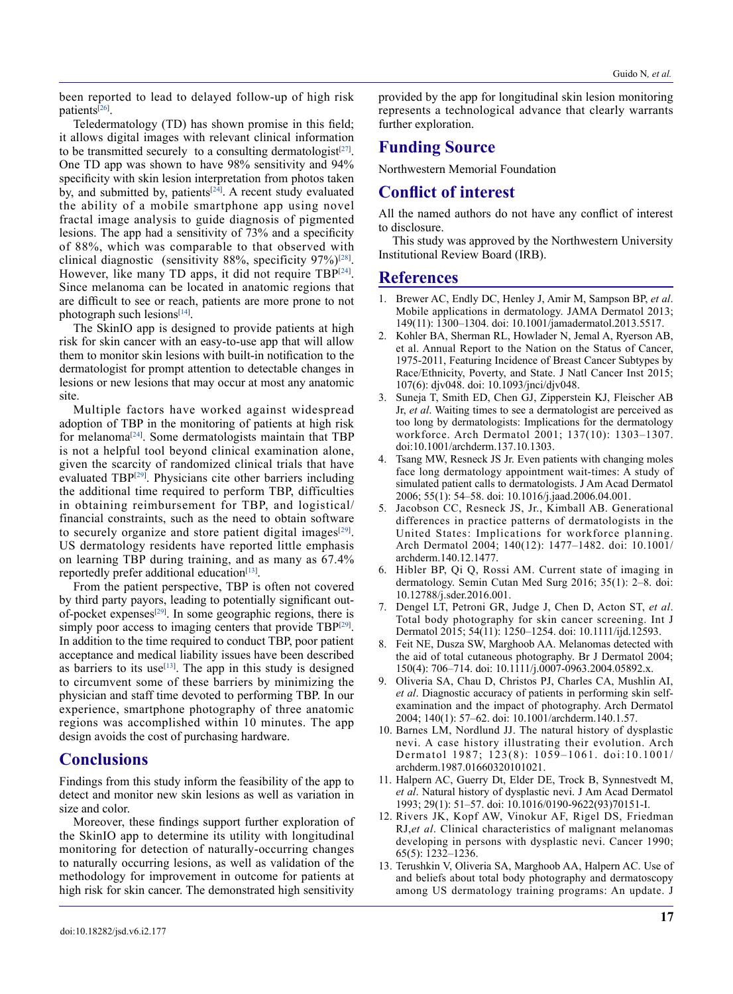been reported to lead to delayed follow-up of high risk patients<sup>[26]</sup>.

Teledermatology (TD) has shown promise in this field; it allows digital images with relevant clinical information to be transmitted securely to a consulting dermatologist $[27]$ . One TD app was shown to have 98% sensitivity and 94% specificity with skin lesion interpretation from photos taken by, and submitted by, patients<sup>[24]</sup>. A recent study evaluated the ability of a mobile smartphone app using novel fractal image analysis to guide diagnosis of pigmented lesions. The app had a sensitivity of 73% and a specificity of 88%, which was comparable to that observed with clinical diagnostic (sensitivity 88%, specificity  $97\%$ )<sup>[28]</sup>. However, like many TD apps, it did not require TBP<sup>[24]</sup>. Since melanoma can be located in anatomic regions that are difficult to see or reach, patients are more prone to not photograph such lesions<sup>[14]</sup>.

The SkinIO app is designed to provide patients at high risk for skin cancer with an easy-to-use app that will allow them to monitor skin lesions with built-in notification to the dermatologist for prompt attention to detectable changes in lesions or new lesions that may occur at most any anatomic site.

Multiple factors have worked against widespread adoption of TBP in the monitoring of patients at high risk for melanoma[24] . Some dermatologists maintain that TBP is not a helpful tool beyond clinical examination alone, given the scarcity of randomized clinical trials that have evaluated TBP<sup>[29]</sup>. Physicians cite other barriers including the additional time required to perform TBP, difficulties in obtaining reimbursement for TBP, and logistical/ financial constraints, such as the need to obtain software to securely organize and store patient digital images $[29]$ . US dermatology residents have reported little emphasis on learning TBP during training, and as many as 67.4% reportedly prefer additional education<sup>[13]</sup>.

From the patient perspective, TBP is often not covered by third party payors, leading to potentially significant outof-pocket expenses<sup>[29]</sup>. In some geographic regions, there is simply poor access to imaging centers that provide  $TBP^{[29]}$ . In addition to the time required to conduct TBP, poor patient acceptance and medical liability issues have been described as barriers to its use<sup> $[13]$ </sup>. The app in this study is designed to circumvent some of these barriers by minimizing the physician and staff time devoted to performing TBP. In our experience, smartphone photography of three anatomic regions was accomplished within 10 minutes. The app design avoids the cost of purchasing hardware.

#### **Conclusions**

Findings from this study inform the feasibility of the app to detect and monitor new skin lesions as well as variation in size and color.

Moreover, these findings support further exploration of the SkinIO app to determine its utility with longitudinal monitoring for detection of naturally-occurring changes to naturally occurring lesions, as well as validation of the methodology for improvement in outcome for patients at high risk for skin cancer. The demonstrated high sensitivity

provided by the app for longitudinal skin lesion monitoring represents a technological advance that clearly warrants further exploration.

#### **Funding Source**

Northwestern Memorial Foundation

## **Conflict of interest**

All the named authors do not have any conflict of interest to disclosure.

This study was approved by the Northwestern University Institutional Review Board (IRB).

#### **References**

- 1. Brewer AC, Endly DC, Henley J, Amir M, Sampson BP, *et al*. Mobile applications in dermatology. JAMA Dermatol 2013; 149(11): 1300–1304. doi: 10.1001/jamadermatol.2013.5517.
- 2. Kohler BA, Sherman RL, Howlader N, Jemal A, Ryerson AB, et al. Annual Report to the Nation on the Status of Cancer, 1975-2011, Featuring Incidence of Breast Cancer Subtypes by Race/Ethnicity, Poverty, and State. J Natl Cancer Inst 2015; 107(6): djv048. doi: 10.1093/jnci/djv048.
- 3. Suneja T, Smith ED, Chen GJ, Zipperstein KJ, Fleischer AB Jr, *et al*. Waiting times to see a dermatologist are perceived as too long by dermatologists: Implications for the dermatology workforce. Arch Dermatol 2001; 137(10): 1303–1307. doi:10.1001/archderm.137.10.1303.
- 4. Tsang MW, Resneck JS Jr. Even patients with changing moles face long dermatology appointment wait-times: A study of simulated patient calls to dermatologists. J Am Acad Dermatol 2006; 55(1): 54–58. doi: 10.1016/j.jaad.2006.04.001.
- 5. Jacobson CC, Resneck JS, Jr., Kimball AB. Generational differences in practice patterns of dermatologists in the United States: Implications for workforce planning. Arch Dermatol 2004; 140(12): 1477–1482. doi: 10.1001/ archderm.140.12.1477.
- 6. Hibler BP, Qi Q, Rossi AM. Current state of imaging in dermatology. Semin Cutan Med Surg 2016; 35(1): 2–8. doi: 10.12788/j.sder.2016.001.
- 7. Dengel LT, Petroni GR, Judge J, Chen D, Acton ST, *et al*. Total body photography for skin cancer screening. Int J Dermatol 2015; 54(11): 1250–1254. doi: 10.1111/ijd.12593.
- 8. Feit NE, Dusza SW, Marghoob AA. Melanomas detected with the aid of total cutaneous photography. Br J Dermatol 2004; 150(4): 706–714. doi: 10.1111/j.0007-0963.2004.05892.x.
- 9. Oliveria SA, Chau D, Christos PJ, Charles CA, Mushlin AI, *et al*. Diagnostic accuracy of patients in performing skin selfexamination and the impact of photography. Arch Dermatol 2004; 140(1): 57–62. doi: 10.1001/archderm.140.1.57.
- 10. Barnes LM, Nordlund JJ. The natural history of dysplastic nevi. A case history illustrating their evolution. Arch Dermatol 1987; 123(8): 1059–1061. doi:10.1001/ archderm.1987.01660320101021.
- 11. Halpern AC, Guerry Dt, Elder DE, Trock B, Synnestvedt M, *et al*. Natural history of dysplastic nevi. J Am Acad Dermatol 1993; 29(1): 51–57. doi: 10.1016/0190-9622(93)70151-I.
- 12. Rivers JK, Kopf AW, Vinokur AF, Rigel DS, Friedman RJ,*et al*. Clinical characteristics of malignant melanomas developing in persons with dysplastic nevi. Cancer 1990; 65(5): 1232–1236.
- 13. Terushkin V, Oliveria SA, Marghoob AA, Halpern AC. Use of and beliefs about total body photography and dermatoscopy among US dermatology training programs: An update. J